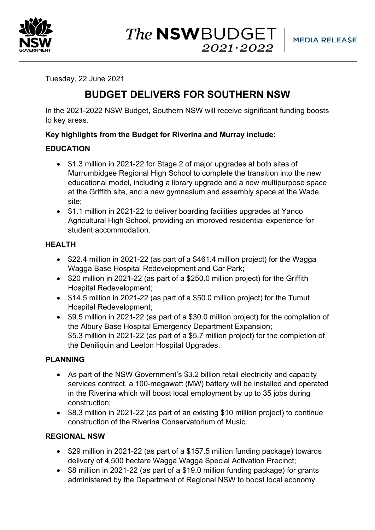

Tuesday, 22 June 2021

# **BUDGET DELIVERS FOR SOUTHERN NSW**

In the 2021-2022 NSW Budget, Southern NSW will receive significant funding boosts to key areas.

## **Key highlights from the Budget for Riverina and Murray include:**

# **EDUCATION**

- \$1.3 million in 2021-22 for Stage 2 of major upgrades at both sites of Murrumbidgee Regional High School to complete the transition into the new educational model, including a library upgrade and a new multipurpose space at the Griffith site, and a new gymnasium and assembly space at the Wade site;
- \$1.1 million in 2021-22 to deliver boarding facilities upgrades at Yanco Agricultural High School, providing an improved residential experience for student accommodation.

## **HEALTH**

- \$22.4 million in 2021-22 (as part of a \$461.4 million project) for the Wagga Wagga Base Hospital Redevelopment and Car Park;
- \$20 million in 2021-22 (as part of a \$250.0 million project) for the Griffith Hospital Redevelopment;
- \$14.5 million in 2021-22 (as part of a \$50.0 million project) for the Tumut Hospital Redevelopment;
- \$9.5 million in 2021-22 (as part of a \$30.0 million project) for the completion of the Albury Base Hospital Emergency Department Expansion; \$5.3 million in 2021-22 (as part of a \$5.7 million project) for the completion of the Deniliquin and Leeton Hospital Upgrades.

## **PLANNING**

- As part of the NSW Government's \$3.2 billion retail electricity and capacity services contract, a 100-megawatt (MW) battery will be installed and operated in the Riverina which will boost local employment by up to 35 jobs during construction;
- \$8.3 million in 2021-22 (as part of an existing \$10 million project) to continue construction of the Riverina Conservatorium of Music.

## **REGIONAL NSW**

- \$29 million in 2021-22 (as part of a \$157.5 million funding package) towards delivery of 4,500 hectare Wagga Wagga Special Activation Precinct;
- \$8 million in 2021-22 (as part of a \$19.0 million funding package) for grants administered by the Department of Regional NSW to boost local economy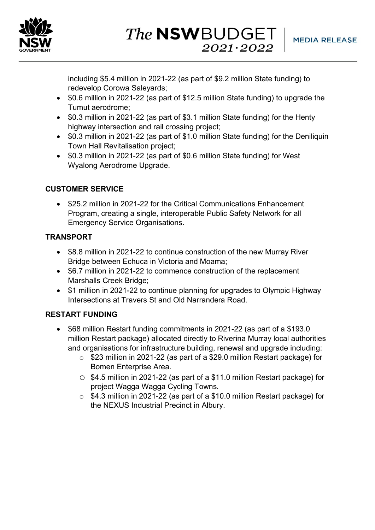

including \$5.4 million in 2021-22 (as part of \$9.2 million State funding) to redevelop Corowa Saleyards;

- \$0.6 million in 2021-22 (as part of \$12.5 million State funding) to upgrade the Tumut aerodrome;
- \$0.3 million in 2021-22 (as part of \$3.1 million State funding) for the Henty highway intersection and rail crossing project;
- \$0.3 million in 2021-22 (as part of \$1.0 million State funding) for the Deniliquin Town Hall Revitalisation project;
- \$0.3 million in 2021-22 (as part of \$0.6 million State funding) for West Wyalong Aerodrome Upgrade.

# **CUSTOMER SERVICE**

• \$25.2 million in 2021-22 for the Critical Communications Enhancement Program, creating a single, interoperable Public Safety Network for all Emergency Service Organisations.

## **TRANSPORT**

- \$8.8 million in 2021-22 to continue construction of the new Murray River Bridge between Echuca in Victoria and Moama;
- \$6.7 million in 2021-22 to commence construction of the replacement Marshalls Creek Bridge;
- \$1 million in 2021-22 to continue planning for upgrades to Olympic Highway Intersections at Travers St and Old Narrandera Road.

## **RESTART FUNDING**

- \$68 million Restart funding commitments in 2021-22 (as part of a \$193.0 million Restart package) allocated directly to Riverina Murray local authorities and organisations for infrastructure building, renewal and upgrade including:
	- o \$23 million in 2021-22 (as part of a \$29.0 million Restart package) for Bomen Enterprise Area.
	- o \$4.5 million in 2021-22 (as part of a \$11.0 million Restart package) for project Wagga Wagga Cycling Towns.
	- o \$4.3 million in 2021-22 (as part of a \$10.0 million Restart package) for the NEXUS Industrial Precinct in Albury.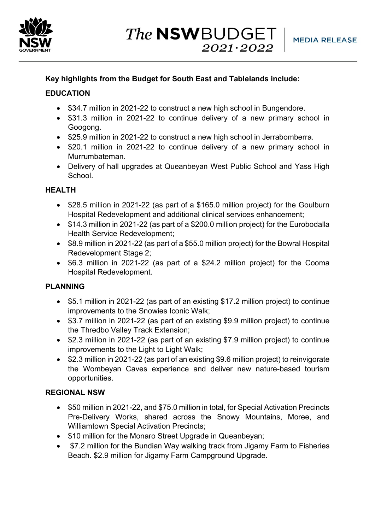

## **Key highlights from the Budget for South East and Tablelands include:**

## **EDUCATION**

- \$34.7 million in 2021-22 to construct a new high school in Bungendore.
- \$31.3 million in 2021-22 to continue delivery of a new primary school in Googong.
- \$25.9 million in 2021-22 to construct a new high school in Jerrabomberra.
- \$20.1 million in 2021-22 to continue delivery of a new primary school in Murrumbateman.
- Delivery of hall upgrades at Queanbeyan West Public School and Yass High School.

## **HEALTH**

- \$28.5 million in 2021-22 (as part of a \$165.0 million project) for the Goulburn Hospital Redevelopment and additional clinical services enhancement;
- \$14.3 million in 2021-22 (as part of a \$200.0 million project) for the Eurobodalla Health Service Redevelopment;
- \$8.9 million in 2021-22 (as part of a \$55.0 million project) for the Bowral Hospital Redevelopment Stage 2;
- \$6.3 million in 2021-22 (as part of a \$24.2 million project) for the Cooma Hospital Redevelopment.

## **PLANNING**

- \$5.1 million in 2021-22 (as part of an existing \$17.2 million project) to continue improvements to the Snowies Iconic Walk;
- \$3.7 million in 2021-22 (as part of an existing \$9.9 million project) to continue the Thredbo Valley Track Extension;
- \$2.3 million in 2021-22 (as part of an existing \$7.9 million project) to continue improvements to the Light to Light Walk;
- \$2.3 million in 2021-22 (as part of an existing \$9.6 million project) to reinvigorate the Wombeyan Caves experience and deliver new nature-based tourism opportunities.

## **REGIONAL NSW**

- \$50 million in 2021-22, and \$75.0 million in total, for Special Activation Precincts Pre-Delivery Works, shared across the Snowy Mountains, Moree, and Williamtown Special Activation Precincts;
- \$10 million for the Monaro Street Upgrade in Queanbeyan;
- \$7.2 million for the Bundian Way walking track from Jigamy Farm to Fisheries Beach. \$2.9 million for Jigamy Farm Campground Upgrade.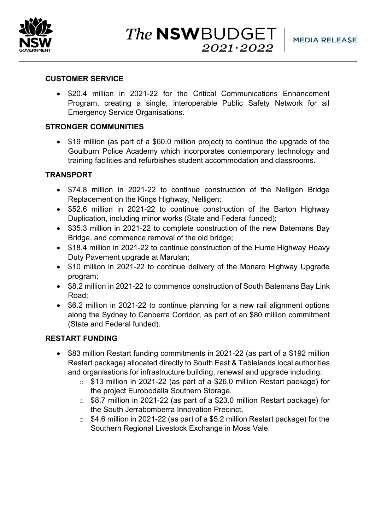

#### **CUSTOMER SERVICE**

• \$20.4 million in 2021-22 for the Critical Communications Enhancement Program, creating a single, interoperable Public Safety Network for all Emergency Service Organisations.

#### **STRONGER COMMUNITIES**

• \$19 million (as part of a \$60.0 million project) to continue the upgrade of the Goulburn Police Academy which incorporates contemporary technology and training facilities and refurbishes student accommodation and classrooms.

#### **TRANSPORT**

- \$74.8 million in 2021-22 to continue construction of the Nelligen Bridge Replacement on the Kings Highway, Nelligen;
- \$52.6 million in 2021-22 to continue construction of the Barton Highway Duplication, including minor works (State and Federal funded);
- \$35.3 million in 2021-22 to complete construction of the new Batemans Bay Bridge, and commence removal of the old bridge;
- \$18.4 million in 2021-22 to continue construction of the Hume Highway Heavy Duty Pavement upgrade at Marulan;
- \$10 million in 2021-22 to continue delivery of the Monaro Highway Upgrade program;
- \$8.2 million in 2021-22 to commence construction of South Batemans Bay Link Road;
- \$6.2 million in 2021-22 to continue planning for a new rail alignment options along the Sydney to Canberra Corridor, as part of an \$80 million commitment (State and Federal funded).

#### **RESTART FUNDING**

- \$83 million Restart funding commitments in 2021-22 (as part of a \$192 million Restart package) allocated directly to South East & Tablelands local authorities and organisations for infrastructure building, renewal and upgrade including:
	- o \$13 million in 2021-22 (as part of a \$26.0 million Restart package) for the project Eurobodalla Southern Storage.
	- o \$8.7 million in 2021-22 (as part of a \$23.0 million Restart package) for the South Jerrabomberra Innovation Precinct.
	- o \$4.6 million in 2021-22 (as part of a \$5.2 million Restart package) for the Southern Regional Livestock Exchange in Moss Vale.